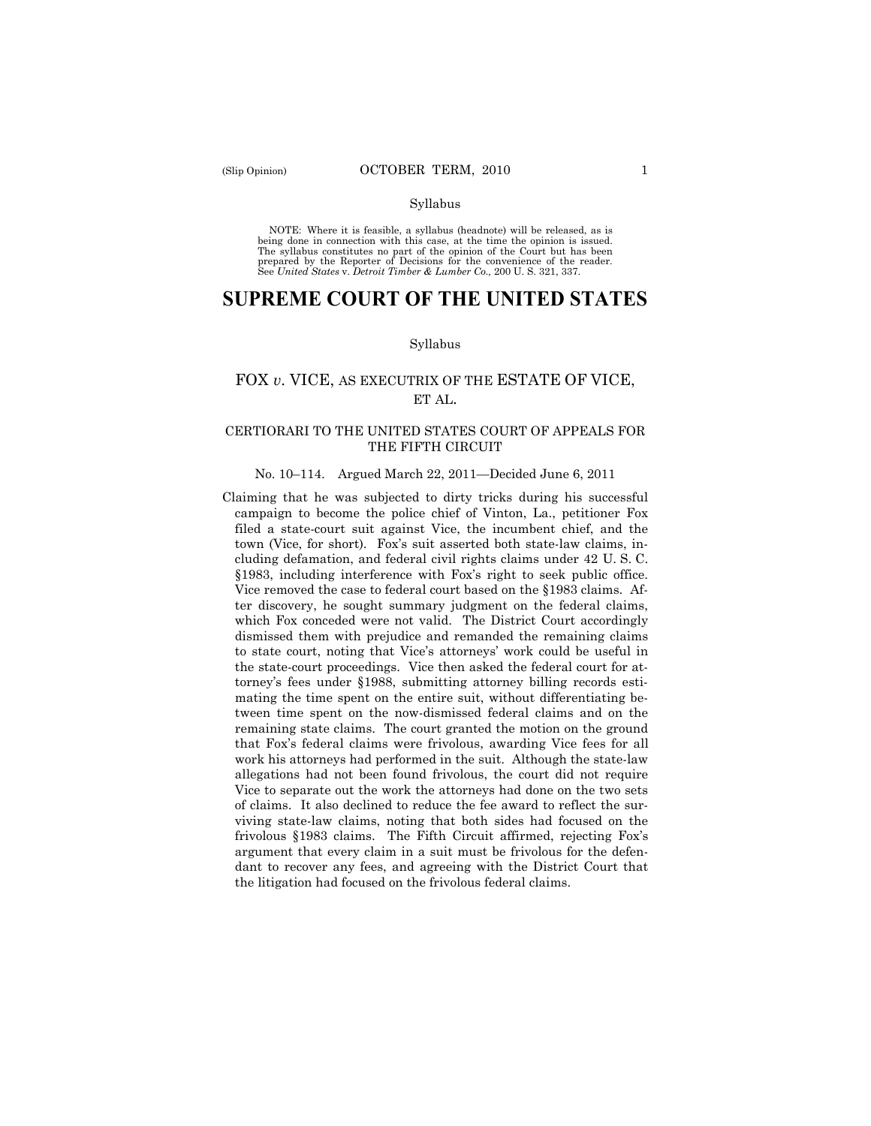#### Syllabus

NOTE: Where it is feasible, a syllabus (headnote) will be released, as is being done in connection with this case, at the time the opinion is issued. The syllabus constitutes no part of the opinion of the Court but has been<br>prepared by the Reporter of Decisions for the convenience of the reader.<br>See United States v. Detroit Timber & Lumber Co., 200 U. S. 321, 337.

# **SUPREME COURT OF THE UNITED STATES**

#### Syllabus

# FOX *v*. VICE, AS EXECUTRIX OF THE ESTATE OF VICE, ET AL.

### CERTIORARI TO THE UNITED STATES COURT OF APPEALS FOR THE FIFTH CIRCUIT

#### No. 10–114. Argued March 22, 2011—Decided June 6, 2011

Claiming that he was subjected to dirty tricks during his successful campaign to become the police chief of Vinton, La., petitioner Fox filed a state-court suit against Vice, the incumbent chief, and the town (Vice, for short). Fox's suit asserted both state-law claims, including defamation, and federal civil rights claims under 42 U. S. C. §1983, including interference with Fox's right to seek public office. Vice removed the case to federal court based on the §1983 claims. After discovery, he sought summary judgment on the federal claims, which Fox conceded were not valid. The District Court accordingly dismissed them with prejudice and remanded the remaining claims to state court, noting that Vice's attorneys' work could be useful in the state-court proceedings. Vice then asked the federal court for attorney's fees under §1988, submitting attorney billing records estimating the time spent on the entire suit, without differentiating between time spent on the now-dismissed federal claims and on the remaining state claims. The court granted the motion on the ground that Fox's federal claims were frivolous, awarding Vice fees for all work his attorneys had performed in the suit. Although the state-law allegations had not been found frivolous, the court did not require Vice to separate out the work the attorneys had done on the two sets of claims. It also declined to reduce the fee award to reflect the surviving state-law claims, noting that both sides had focused on the frivolous §1983 claims. The Fifth Circuit affirmed, rejecting Fox's argument that every claim in a suit must be frivolous for the defendant to recover any fees, and agreeing with the District Court that the litigation had focused on the frivolous federal claims.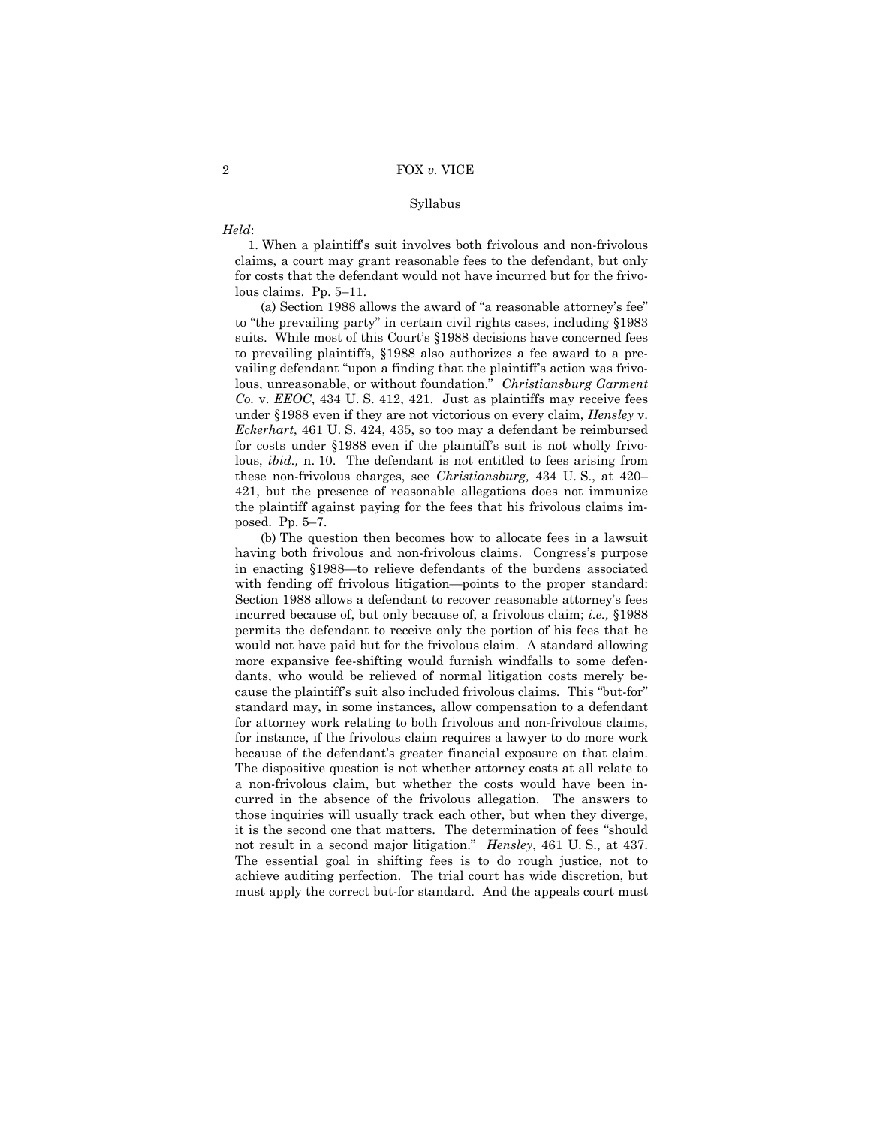#### Syllabus

### *Held*:

1. When a plaintiff's suit involves both frivolous and non-frivolous claims, a court may grant reasonable fees to the defendant, but only for costs that the defendant would not have incurred but for the frivolous claims. Pp. 5–11.

(a) Section 1988 allows the award of "a reasonable attorney's fee" to "the prevailing party" in certain civil rights cases, including §1983 suits. While most of this Court's §1988 decisions have concerned fees to prevailing plaintiffs, §1988 also authorizes a fee award to a prevailing defendant "upon a finding that the plaintiff's action was frivolous, unreasonable, or without foundation." *Christiansburg Garment Co.* v. *EEOC*, 434 U. S. 412, 421. Just as plaintiffs may receive fees under §1988 even if they are not victorious on every claim, *Hensley* v. *Eckerhart*, 461 U. S. 424, 435, so too may a defendant be reimbursed for costs under §1988 even if the plaintiff's suit is not wholly frivolous, *ibid.,* n. 10. The defendant is not entitled to fees arising from these non-frivolous charges, see *Christiansburg,* 434 U. S., at 420– 421, but the presence of reasonable allegations does not immunize the plaintiff against paying for the fees that his frivolous claims imposed. Pp. 5–7.

(b) The question then becomes how to allocate fees in a lawsuit having both frivolous and non-frivolous claims. Congress's purpose in enacting §1988—to relieve defendants of the burdens associated with fending off frivolous litigation—points to the proper standard: Section 1988 allows a defendant to recover reasonable attorney's fees incurred because of, but only because of, a frivolous claim; *i.e.,* §1988 permits the defendant to receive only the portion of his fees that he would not have paid but for the frivolous claim. A standard allowing more expansive fee-shifting would furnish windfalls to some defendants, who would be relieved of normal litigation costs merely because the plaintiff's suit also included frivolous claims. This "but-for" standard may, in some instances, allow compensation to a defendant for attorney work relating to both frivolous and non-frivolous claims, for instance, if the frivolous claim requires a lawyer to do more work because of the defendant's greater financial exposure on that claim. The dispositive question is not whether attorney costs at all relate to a non-frivolous claim, but whether the costs would have been incurred in the absence of the frivolous allegation. The answers to those inquiries will usually track each other, but when they diverge, it is the second one that matters. The determination of fees "should not result in a second major litigation." *Hensley*, 461 U. S., at 437. The essential goal in shifting fees is to do rough justice, not to achieve auditing perfection. The trial court has wide discretion, but must apply the correct but-for standard. And the appeals court must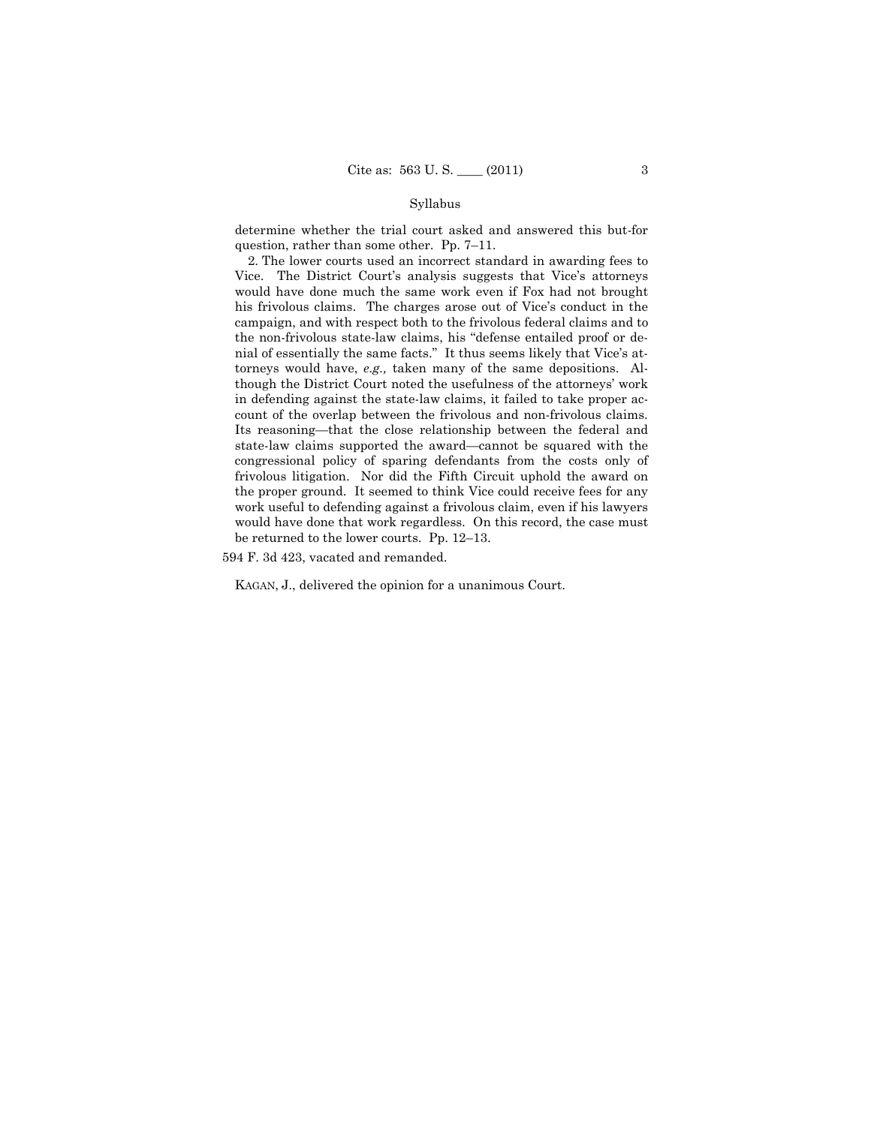### Syllabus

determine whether the trial court asked and answered this but-for question, rather than some other. Pp. 7–11.

2. The lower courts used an incorrect standard in awarding fees to Vice. The District Court's analysis suggests that Vice's attorneys would have done much the same work even if Fox had not brought his frivolous claims. The charges arose out of Vice's conduct in the campaign, and with respect both to the frivolous federal claims and to the non-frivolous state-law claims, his "defense entailed proof or denial of essentially the same facts." It thus seems likely that Vice's attorneys would have, *e.g.,* taken many of the same depositions. Although the District Court noted the usefulness of the attorneys' work in defending against the state-law claims, it failed to take proper account of the overlap between the frivolous and non-frivolous claims. Its reasoning—that the close relationship between the federal and state-law claims supported the award—cannot be squared with the congressional policy of sparing defendants from the costs only of frivolous litigation. Nor did the Fifth Circuit uphold the award on the proper ground. It seemed to think Vice could receive fees for any work useful to defending against a frivolous claim, even if his lawyers would have done that work regardless. On this record, the case must be returned to the lower courts. Pp. 12–13.

594 F. 3d 423, vacated and remanded.

KAGAN, J., delivered the opinion for a unanimous Court.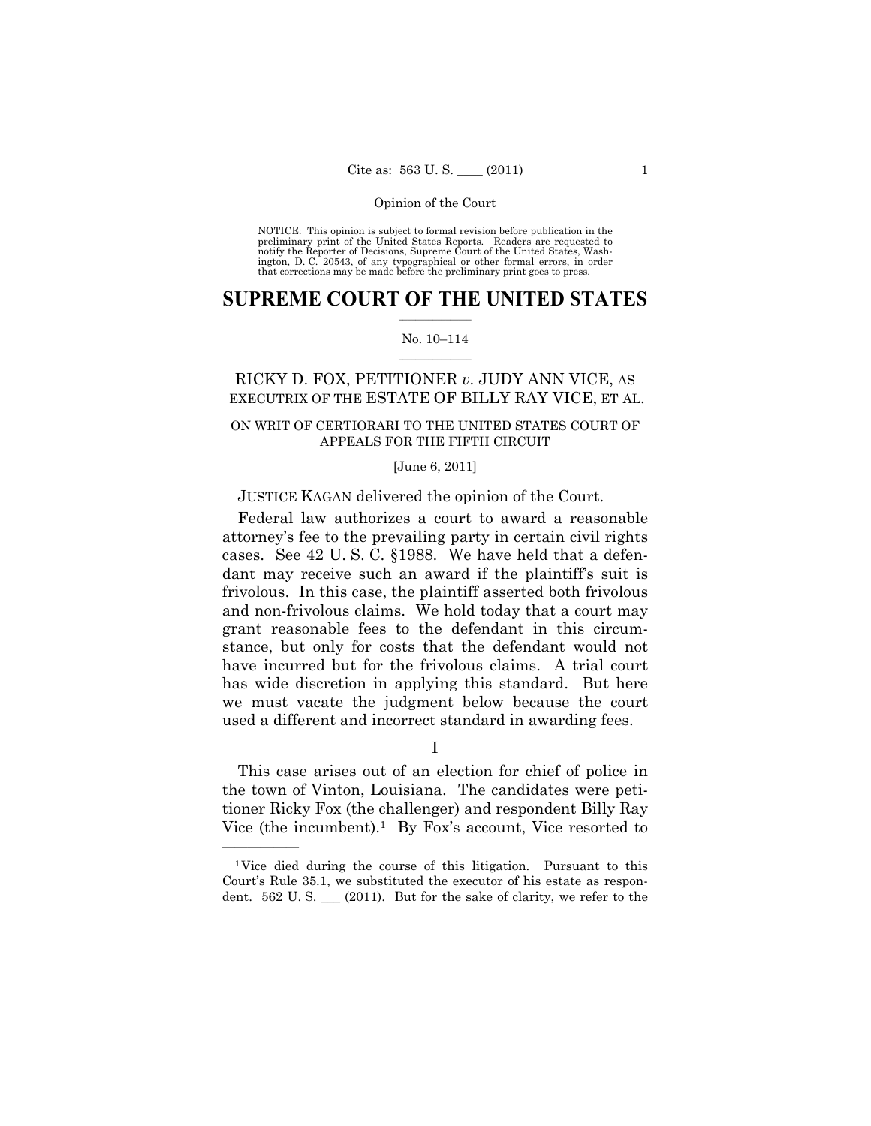NOTICE: This opinion is subject to formal revision before publication in the preliminary print of the United States Reports. Readers are requested to notify the Reporter of Decisions, Supreme Court of the United States, Washington, D. C. 20543, of any typographical or other formal errors, in order that corrections may be made before the preliminary print goes to press.

### $\frac{1}{2}$  , where  $\frac{1}{2}$ **SUPREME COURT OF THE UNITED STATES**

#### $\frac{1}{2}$  ,  $\frac{1}{2}$  ,  $\frac{1}{2}$  ,  $\frac{1}{2}$  ,  $\frac{1}{2}$  ,  $\frac{1}{2}$ No. 10–114

# RICKY D. FOX, PETITIONER *v.* JUDY ANN VICE, AS EXECUTRIX OF THE ESTATE OF BILLY RAY VICE, ET AL.

### ON WRIT OF CERTIORARI TO THE UNITED STATES COURT OF APPEALS FOR THE FIFTH CIRCUIT

#### [June 6, 2011]

### JUSTICE KAGAN delivered the opinion of the Court.

Federal law authorizes a court to award a reasonable attorney's fee to the prevailing party in certain civil rights cases. See 42 U. S. C. §1988. We have held that a defendant may receive such an award if the plaintiff's suit is frivolous. In this case, the plaintiff asserted both frivolous and non-frivolous claims. We hold today that a court may grant reasonable fees to the defendant in this circumstance, but only for costs that the defendant would not have incurred but for the frivolous claims. A trial court has wide discretion in applying this standard. But here we must vacate the judgment below because the court used a different and incorrect standard in awarding fees.

### I

This case arises out of an election for chief of police in the town of Vinton, Louisiana. The candidates were petitioner Ricky Fox (the challenger) and respondent Billy Ray Vice (the incumbent).<sup>1</sup> By Fox's account, Vice resorted to

<sup>1</sup>Vice died during the course of this litigation. Pursuant to this Court's Rule 35.1, we substituted the executor of his estate as respondent. 562 U.S. (2011). But for the sake of clarity, we refer to the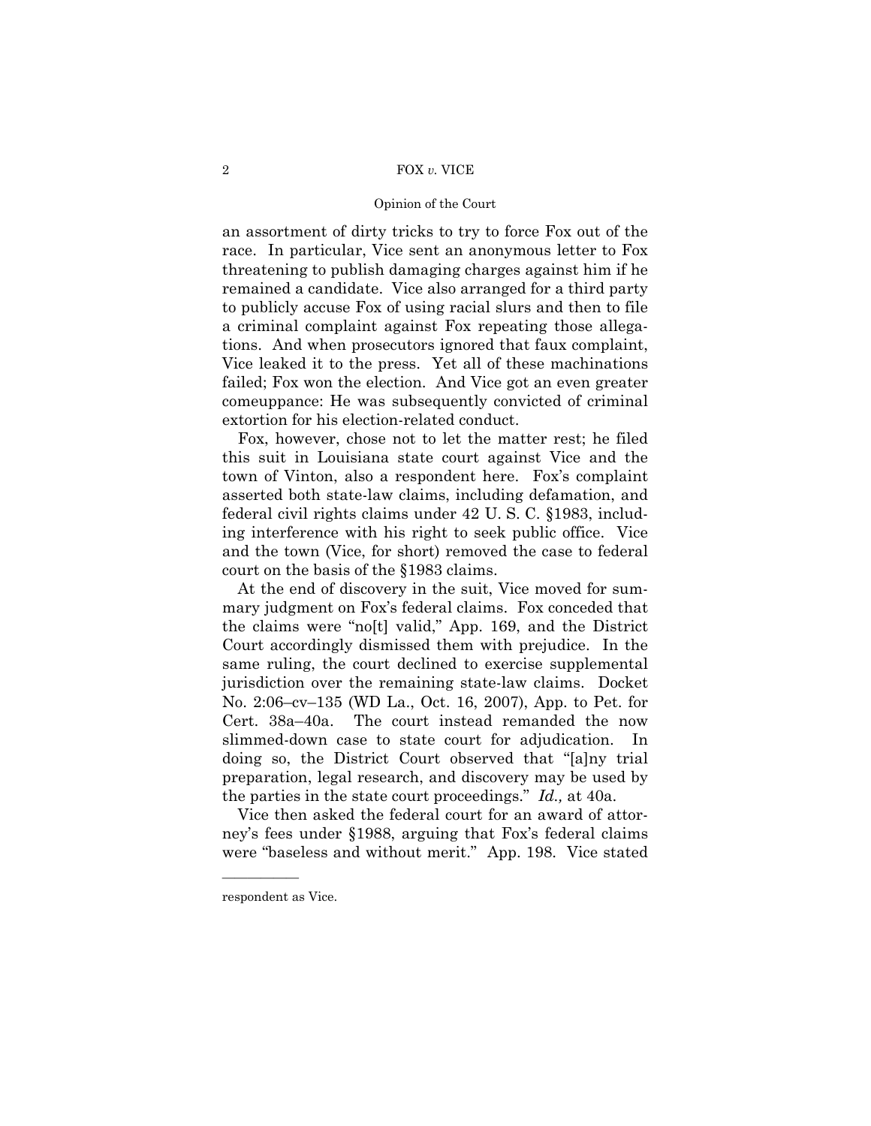#### Opinion of the Court

an assortment of dirty tricks to try to force Fox out of the race. In particular, Vice sent an anonymous letter to Fox threatening to publish damaging charges against him if he remained a candidate. Vice also arranged for a third party to publicly accuse Fox of using racial slurs and then to file a criminal complaint against Fox repeating those allegations. And when prosecutors ignored that faux complaint, Vice leaked it to the press. Yet all of these machinations failed; Fox won the election. And Vice got an even greater comeuppance: He was subsequently convicted of criminal extortion for his election-related conduct.

Fox, however, chose not to let the matter rest; he filed this suit in Louisiana state court against Vice and the town of Vinton, also a respondent here. Fox's complaint asserted both state-law claims, including defamation, and federal civil rights claims under 42 U. S. C. §1983, including interference with his right to seek public office. Vice and the town (Vice, for short) removed the case to federal court on the basis of the §1983 claims.

At the end of discovery in the suit, Vice moved for summary judgment on Fox's federal claims. Fox conceded that the claims were "no[t] valid," App. 169, and the District Court accordingly dismissed them with prejudice. In the same ruling, the court declined to exercise supplemental jurisdiction over the remaining state-law claims. Docket No. 2:06–cv–135 (WD La., Oct. 16, 2007), App. to Pet. for Cert. 38a–40a. The court instead remanded the now slimmed-down case to state court for adjudication. In doing so, the District Court observed that "[a]ny trial preparation, legal research, and discovery may be used by the parties in the state court proceedings." *Id.,* at 40a.

Vice then asked the federal court for an award of attorney's fees under §1988, arguing that Fox's federal claims were "baseless and without merit." App. 198. Vice stated

respondent as Vice.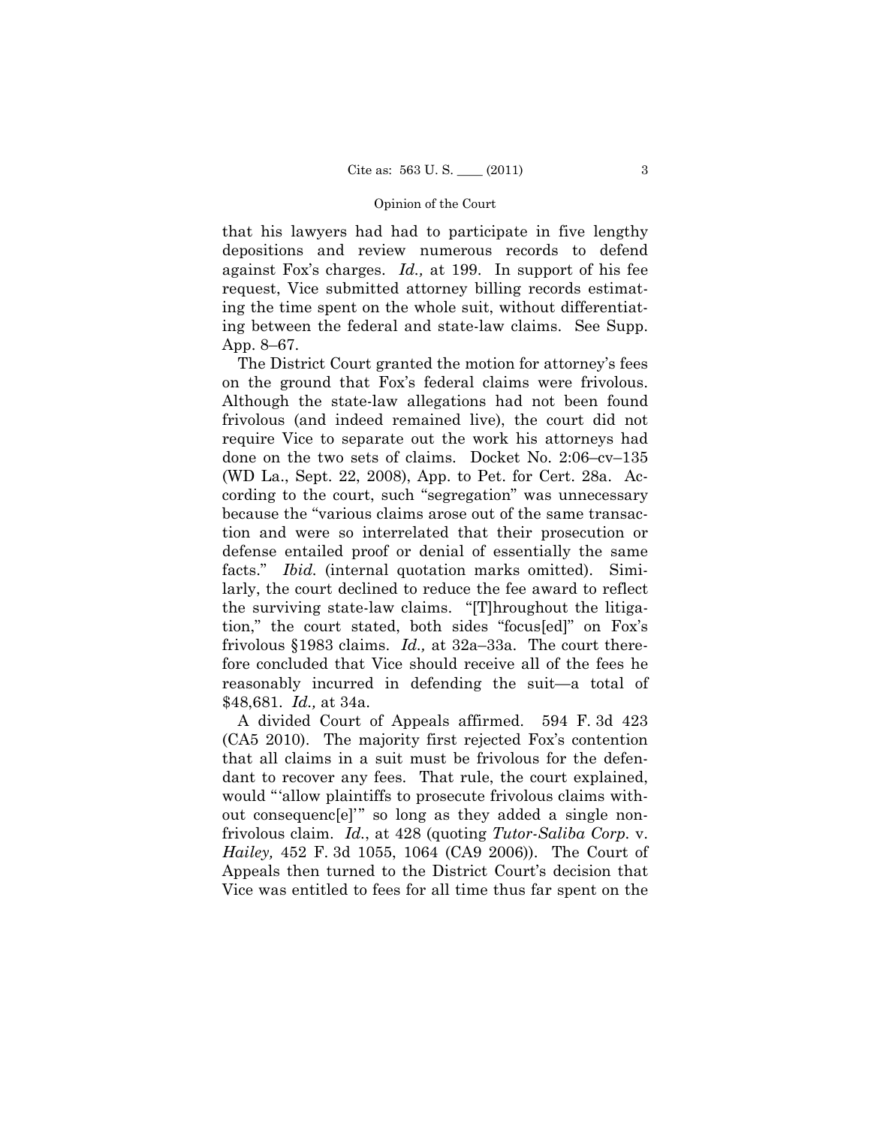that his lawyers had had to participate in five lengthy depositions and review numerous records to defend against Fox's charges. *Id.,* at 199. In support of his fee request, Vice submitted attorney billing records estimating the time spent on the whole suit, without differentiating between the federal and state-law claims. See Supp. App. 8–67.

The District Court granted the motion for attorney's fees on the ground that Fox's federal claims were frivolous. Although the state-law allegations had not been found frivolous (and indeed remained live), the court did not require Vice to separate out the work his attorneys had done on the two sets of claims. Docket No. 2:06–cv–135 (WD La., Sept. 22, 2008), App. to Pet. for Cert. 28a. According to the court, such "segregation" was unnecessary because the "various claims arose out of the same transaction and were so interrelated that their prosecution or defense entailed proof or denial of essentially the same facts." *Ibid.* (internal quotation marks omitted). Similarly, the court declined to reduce the fee award to reflect the surviving state-law claims. "[T]hroughout the litigation," the court stated, both sides "focus[ed]" on Fox's frivolous §1983 claims. *Id.,* at 32a–33a. The court therefore concluded that Vice should receive all of the fees he reasonably incurred in defending the suit—a total of \$48,681. *Id.,* at 34a.

A divided Court of Appeals affirmed. 594 F. 3d 423 (CA5 2010). The majority first rejected Fox's contention that all claims in a suit must be frivolous for the defendant to recover any fees. That rule, the court explained, would "'allow plaintiffs to prosecute frivolous claims without consequenc[e]'" so long as they added a single nonfrivolous claim. *Id.*, at 428 (quoting *Tutor-Saliba Corp.* v. *Hailey,* 452 F. 3d 1055, 1064 (CA9 2006)). The Court of Appeals then turned to the District Court's decision that Vice was entitled to fees for all time thus far spent on the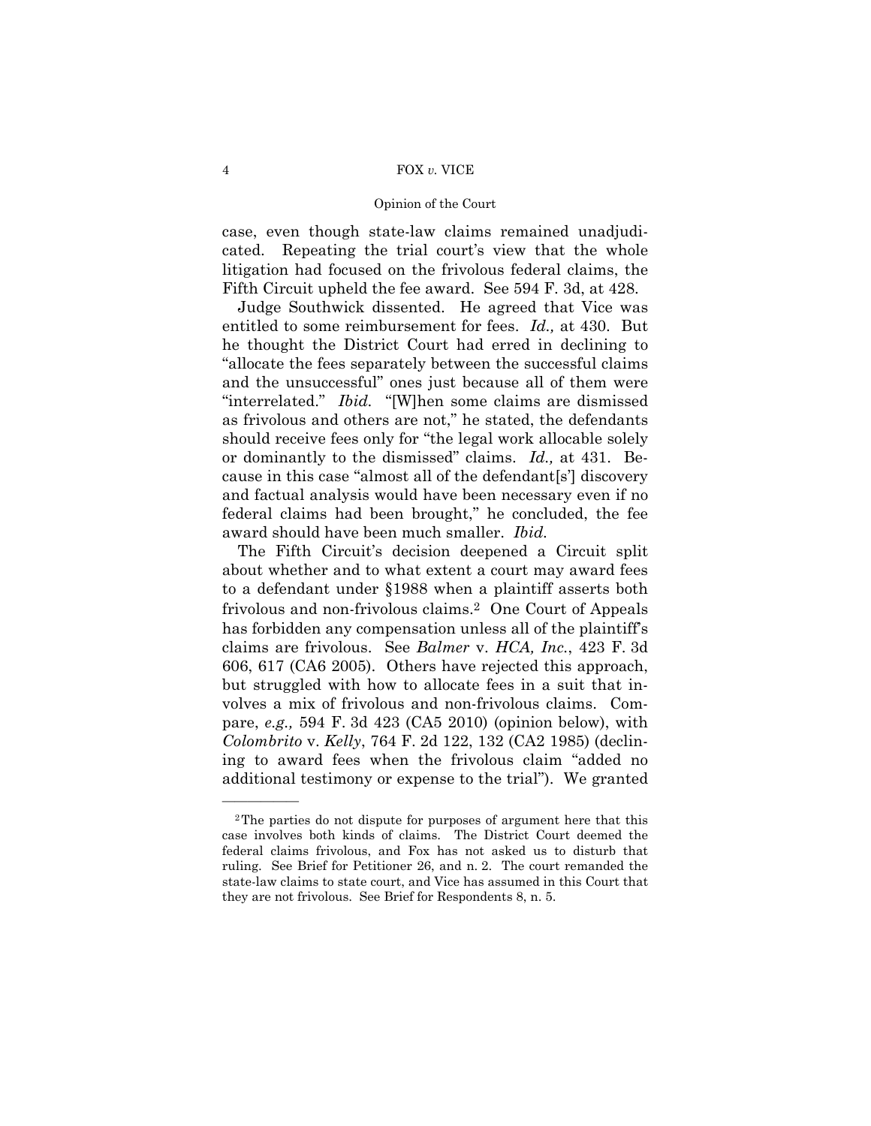### Opinion of the Court

case, even though state-law claims remained unadjudicated. Repeating the trial court's view that the whole litigation had focused on the frivolous federal claims, the Fifth Circuit upheld the fee award. See 594 F. 3d, at 428.

Judge Southwick dissented. He agreed that Vice was entitled to some reimbursement for fees. *Id.,* at 430. But he thought the District Court had erred in declining to "allocate the fees separately between the successful claims and the unsuccessful" ones just because all of them were "interrelated." *Ibid.* "[W]hen some claims are dismissed as frivolous and others are not," he stated, the defendants should receive fees only for "the legal work allocable solely or dominantly to the dismissed" claims. *Id.,* at 431. Because in this case "almost all of the defendant[s'] discovery and factual analysis would have been necessary even if no federal claims had been brought," he concluded, the fee award should have been much smaller. *Ibid.* 

The Fifth Circuit's decision deepened a Circuit split about whether and to what extent a court may award fees to a defendant under §1988 when a plaintiff asserts both frivolous and non-frivolous claims.2 One Court of Appeals has forbidden any compensation unless all of the plaintiff's claims are frivolous. See *Balmer* v. *HCA, Inc.*, 423 F. 3d 606, 617 (CA6 2005). Others have rejected this approach, but struggled with how to allocate fees in a suit that involves a mix of frivolous and non-frivolous claims. Compare, *e.g.,* 594 F. 3d 423 (CA5 2010) (opinion below), with *Colombrito* v. *Kelly*, 764 F. 2d 122, 132 (CA2 1985) (declining to award fees when the frivolous claim "added no additional testimony or expense to the trial"). We granted

<sup>2</sup>The parties do not dispute for purposes of argument here that this case involves both kinds of claims. The District Court deemed the federal claims frivolous, and Fox has not asked us to disturb that ruling. See Brief for Petitioner 26, and n. 2. The court remanded the state-law claims to state court, and Vice has assumed in this Court that they are not frivolous. See Brief for Respondents 8, n. 5.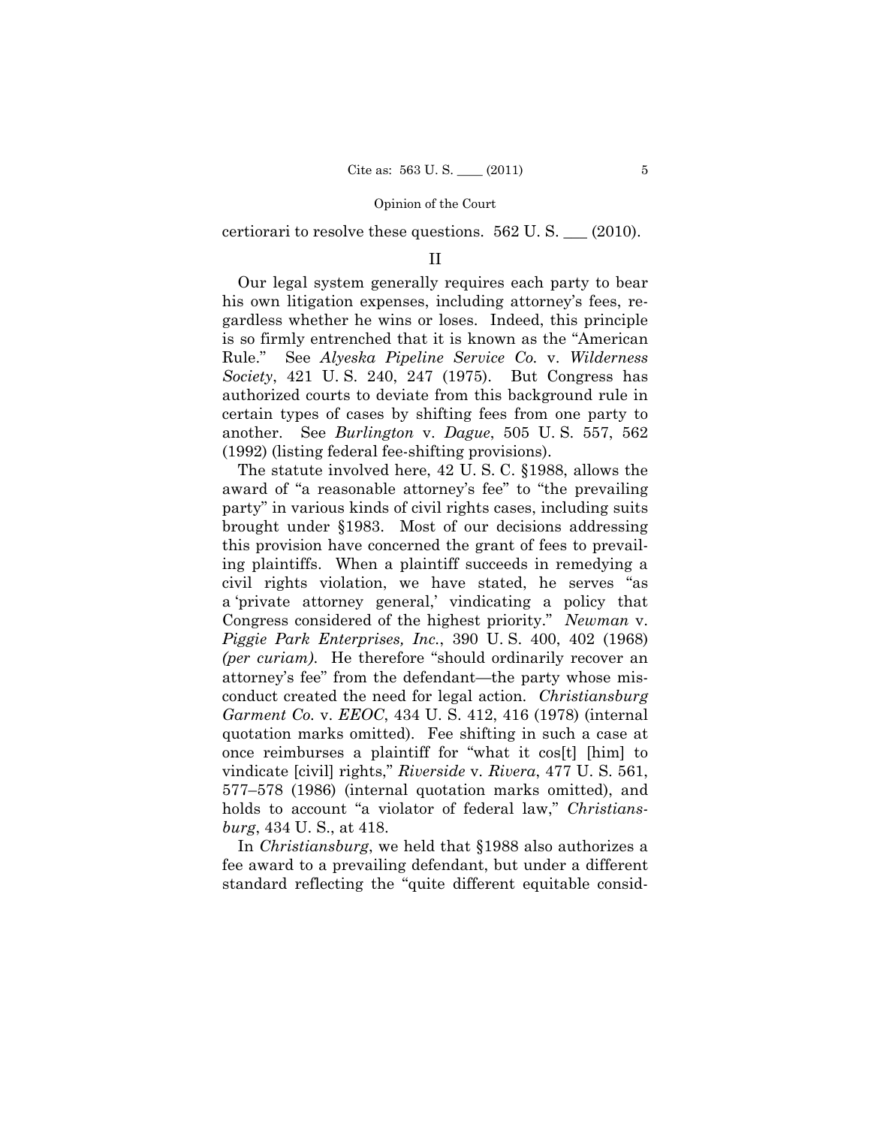certiorari to resolve these questions. 562 U. S. \_\_\_ (2010).

### II

Our legal system generally requires each party to bear his own litigation expenses, including attorney's fees, regardless whether he wins or loses. Indeed, this principle is so firmly entrenched that it is known as the "American Rule." See *Alyeska Pipeline Service Co.* v. *Wilderness Society*, 421 U. S. 240, 247 (1975). But Congress has authorized courts to deviate from this background rule in certain types of cases by shifting fees from one party to another. See *Burlington* v. *Dague*, 505 U. S. 557, 562 (1992) (listing federal fee-shifting provisions).

The statute involved here, 42 U. S. C. §1988, allows the award of "a reasonable attorney's fee" to "the prevailing party" in various kinds of civil rights cases, including suits brought under §1983. Most of our decisions addressing this provision have concerned the grant of fees to prevailing plaintiffs. When a plaintiff succeeds in remedying a civil rights violation, we have stated, he serves "as a 'private attorney general,' vindicating a policy that Congress considered of the highest priority." *Newman* v. *Piggie Park Enterprises, Inc.*, 390 U. S. 400, 402 (1968) *(per curiam)*. He therefore "should ordinarily recover an attorney's fee" from the defendant—the party whose misconduct created the need for legal action. *Christiansburg Garment Co.* v. *EEOC*, 434 U. S. 412, 416 (1978) (internal quotation marks omitted). Fee shifting in such a case at once reimburses a plaintiff for "what it cos[t] [him] to vindicate [civil] rights," *Riverside* v. *Rivera*, 477 U. S. 561, 577–578 (1986) (internal quotation marks omitted), and holds to account "a violator of federal law," *Christiansburg*, 434 U. S., at 418.

In *Christiansburg*, we held that §1988 also authorizes a fee award to a prevailing defendant, but under a different standard reflecting the "quite different equitable consid-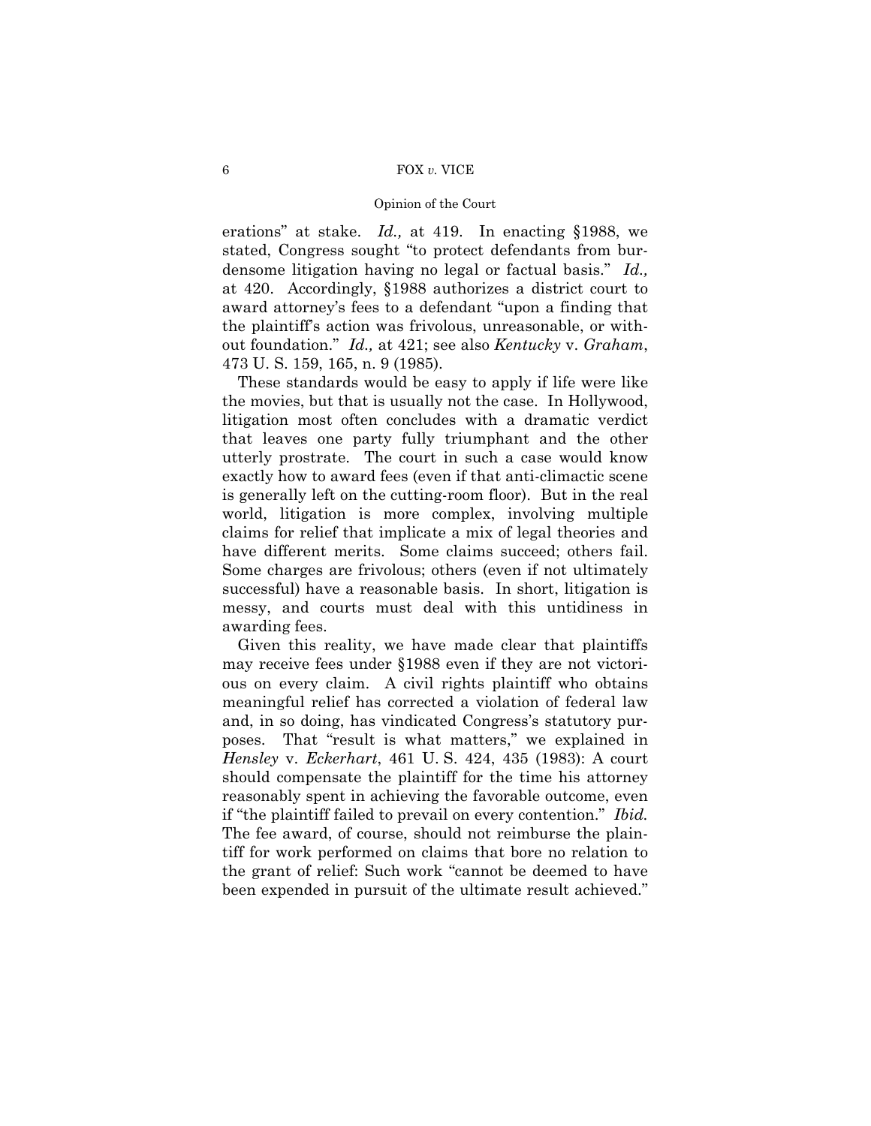### Opinion of the Court

erations" at stake. *Id.,* at 419. In enacting §1988, we stated, Congress sought "to protect defendants from burdensome litigation having no legal or factual basis." *Id.,*  at 420. Accordingly, §1988 authorizes a district court to award attorney's fees to a defendant "upon a finding that the plaintiff's action was frivolous, unreasonable, or without foundation." *Id.,* at 421; see also *Kentucky* v. *Graham*, 473 U. S. 159, 165, n. 9 (1985).

These standards would be easy to apply if life were like the movies, but that is usually not the case. In Hollywood, litigation most often concludes with a dramatic verdict that leaves one party fully triumphant and the other utterly prostrate. The court in such a case would know exactly how to award fees (even if that anti-climactic scene is generally left on the cutting-room floor). But in the real world, litigation is more complex, involving multiple claims for relief that implicate a mix of legal theories and have different merits. Some claims succeed; others fail. Some charges are frivolous; others (even if not ultimately successful) have a reasonable basis. In short, litigation is messy, and courts must deal with this untidiness in awarding fees.

Given this reality, we have made clear that plaintiffs may receive fees under §1988 even if they are not victorious on every claim. A civil rights plaintiff who obtains meaningful relief has corrected a violation of federal law and, in so doing, has vindicated Congress's statutory purposes. That "result is what matters," we explained in *Hensley* v. *Eckerhart*, 461 U. S. 424, 435 (1983): A court should compensate the plaintiff for the time his attorney reasonably spent in achieving the favorable outcome, even if "the plaintiff failed to prevail on every contention." *Ibid.*  The fee award, of course, should not reimburse the plaintiff for work performed on claims that bore no relation to the grant of relief: Such work "cannot be deemed to have been expended in pursuit of the ultimate result achieved."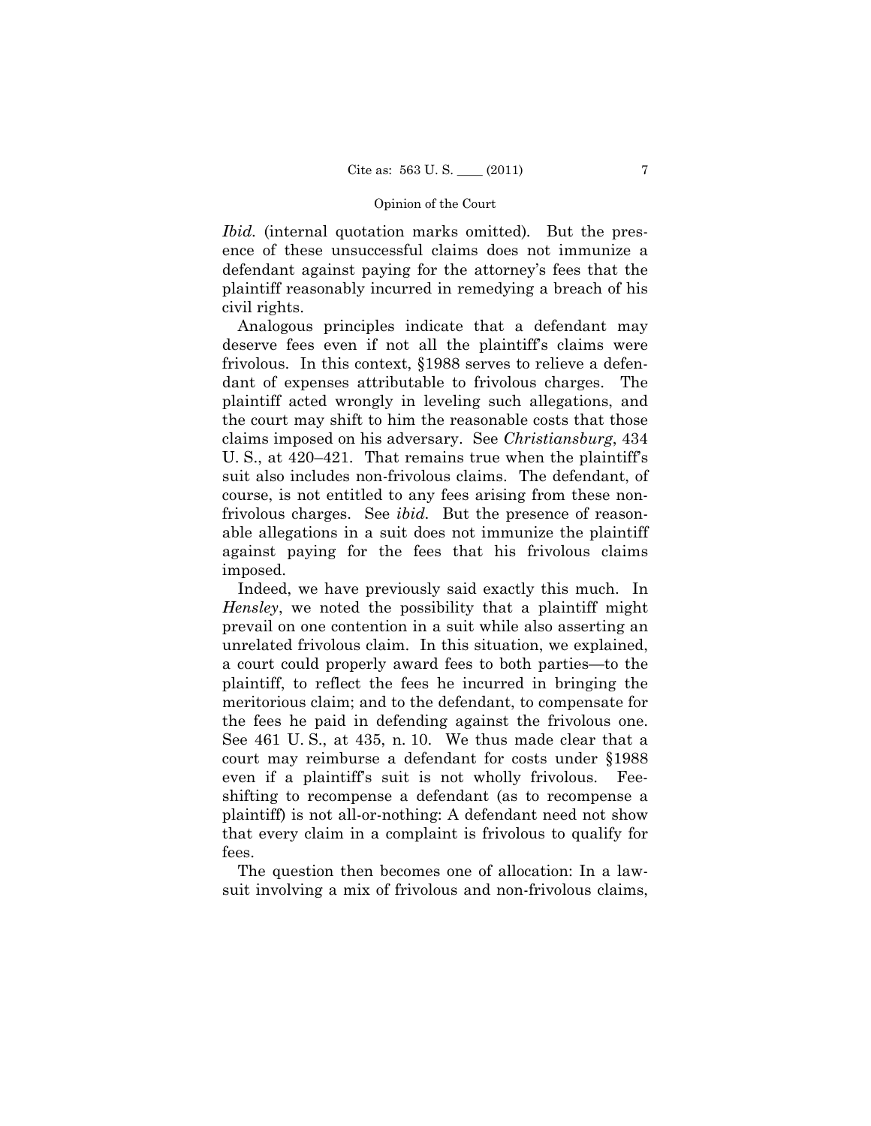*Ibid.* (internal quotation marks omitted)*.* But the presence of these unsuccessful claims does not immunize a defendant against paying for the attorney's fees that the plaintiff reasonably incurred in remedying a breach of his civil rights.

Analogous principles indicate that a defendant may deserve fees even if not all the plaintiff's claims were frivolous. In this context, §1988 serves to relieve a defendant of expenses attributable to frivolous charges. The plaintiff acted wrongly in leveling such allegations, and the court may shift to him the reasonable costs that those claims imposed on his adversary. See *Christiansburg*, 434 U. S., at 420–421. That remains true when the plaintiff's suit also includes non-frivolous claims. The defendant, of course, is not entitled to any fees arising from these nonfrivolous charges. See *ibid*. But the presence of reasonable allegations in a suit does not immunize the plaintiff against paying for the fees that his frivolous claims imposed.

Indeed, we have previously said exactly this much. In *Hensley*, we noted the possibility that a plaintiff might prevail on one contention in a suit while also asserting an unrelated frivolous claim. In this situation, we explained, a court could properly award fees to both parties—to the plaintiff, to reflect the fees he incurred in bringing the meritorious claim; and to the defendant, to compensate for the fees he paid in defending against the frivolous one. See 461 U. S., at 435, n. 10. We thus made clear that a court may reimburse a defendant for costs under §1988 even if a plaintiff's suit is not wholly frivolous. Feeshifting to recompense a defendant (as to recompense a plaintiff) is not all-or-nothing: A defendant need not show that every claim in a complaint is frivolous to qualify for fees.

The question then becomes one of allocation: In a lawsuit involving a mix of frivolous and non-frivolous claims,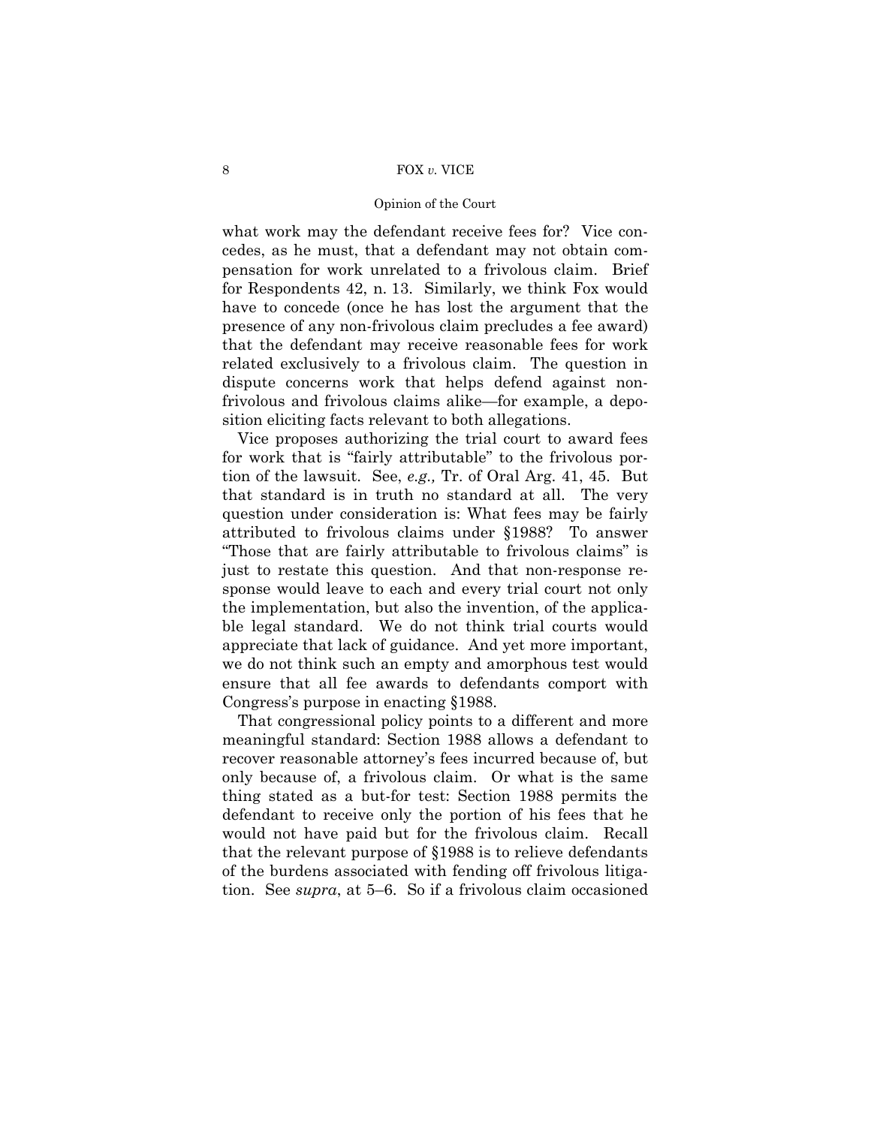### Opinion of the Court

what work may the defendant receive fees for? Vice concedes, as he must, that a defendant may not obtain compensation for work unrelated to a frivolous claim. Brief for Respondents 42, n. 13. Similarly, we think Fox would have to concede (once he has lost the argument that the presence of any non-frivolous claim precludes a fee award) that the defendant may receive reasonable fees for work related exclusively to a frivolous claim. The question in dispute concerns work that helps defend against nonfrivolous and frivolous claims alike—for example, a deposition eliciting facts relevant to both allegations.

Vice proposes authorizing the trial court to award fees for work that is "fairly attributable" to the frivolous portion of the lawsuit. See, *e.g.,* Tr. of Oral Arg. 41, 45. But that standard is in truth no standard at all. The very question under consideration is: What fees may be fairly attributed to frivolous claims under §1988? To answer "Those that are fairly attributable to frivolous claims" is just to restate this question. And that non-response response would leave to each and every trial court not only the implementation, but also the invention, of the applicable legal standard. We do not think trial courts would appreciate that lack of guidance. And yet more important, we do not think such an empty and amorphous test would ensure that all fee awards to defendants comport with Congress's purpose in enacting §1988.

That congressional policy points to a different and more meaningful standard: Section 1988 allows a defendant to recover reasonable attorney's fees incurred because of, but only because of, a frivolous claim. Or what is the same thing stated as a but-for test: Section 1988 permits the defendant to receive only the portion of his fees that he would not have paid but for the frivolous claim. Recall that the relevant purpose of §1988 is to relieve defendants of the burdens associated with fending off frivolous litigation. See *supra*, at 5–6. So if a frivolous claim occasioned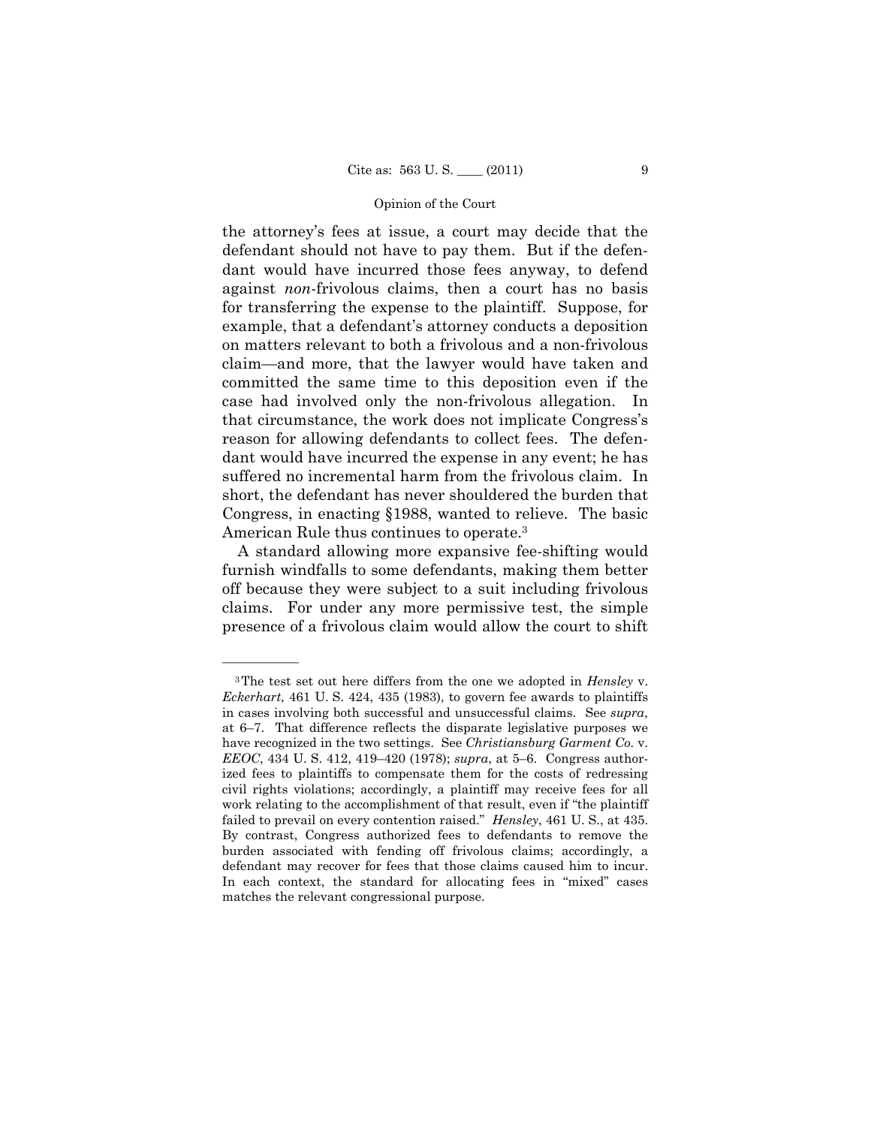the attorney's fees at issue, a court may decide that the defendant should not have to pay them. But if the defendant would have incurred those fees anyway, to defend against *non*-frivolous claims, then a court has no basis for transferring the expense to the plaintiff. Suppose, for example, that a defendant's attorney conducts a deposition on matters relevant to both a frivolous and a non-frivolous claim—and more, that the lawyer would have taken and committed the same time to this deposition even if the case had involved only the non-frivolous allegation. In that circumstance, the work does not implicate Congress's reason for allowing defendants to collect fees. The defendant would have incurred the expense in any event; he has suffered no incremental harm from the frivolous claim. In short, the defendant has never shouldered the burden that Congress, in enacting §1988, wanted to relieve. The basic American Rule thus continues to operate.3

A standard allowing more expansive fee-shifting would furnish windfalls to some defendants, making them better off because they were subject to a suit including frivolous claims. For under any more permissive test, the simple presence of a frivolous claim would allow the court to shift

<sup>3</sup>The test set out here differs from the one we adopted in *Hensley* v. *Eckerhart*, 461 U. S. 424, 435 (1983), to govern fee awards to plaintiffs in cases involving both successful and unsuccessful claims. See *supra*, at 6–7. That difference reflects the disparate legislative purposes we have recognized in the two settings. See *Christiansburg Garment Co.* v. *EEOC*, 434 U. S. 412, 419–420 (1978); *supra*, at 5–6. Congress authorized fees to plaintiffs to compensate them for the costs of redressing civil rights violations; accordingly, a plaintiff may receive fees for all work relating to the accomplishment of that result, even if "the plaintiff failed to prevail on every contention raised." *Hensley*, 461 U. S., at 435. By contrast, Congress authorized fees to defendants to remove the burden associated with fending off frivolous claims; accordingly, a defendant may recover for fees that those claims caused him to incur. In each context, the standard for allocating fees in "mixed" cases matches the relevant congressional purpose.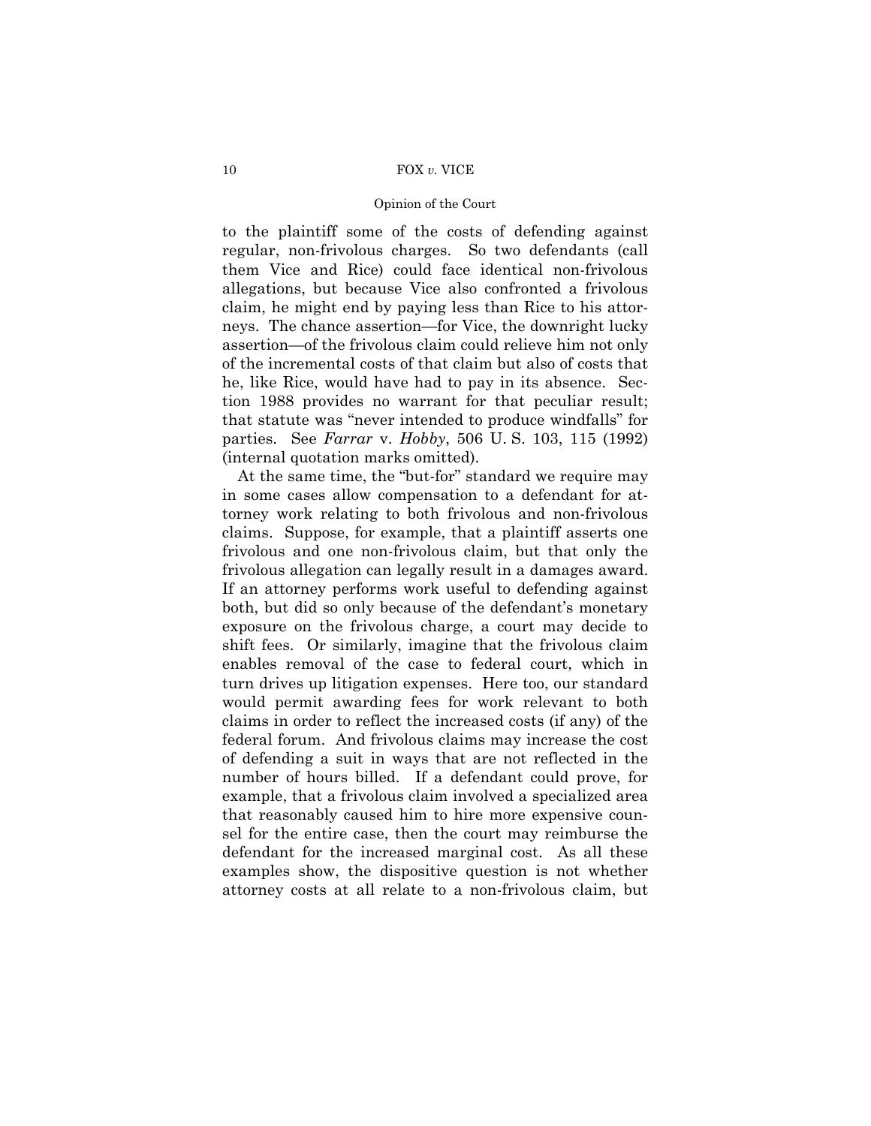### Opinion of the Court

to the plaintiff some of the costs of defending against regular, non-frivolous charges. So two defendants (call them Vice and Rice) could face identical non-frivolous allegations, but because Vice also confronted a frivolous claim, he might end by paying less than Rice to his attorneys. The chance assertion—for Vice, the downright lucky assertion—of the frivolous claim could relieve him not only of the incremental costs of that claim but also of costs that he, like Rice, would have had to pay in its absence. Section 1988 provides no warrant for that peculiar result; that statute was "never intended to produce windfalls" for parties. See *Farrar* v. *Hobby*, 506 U. S. 103, 115 (1992) (internal quotation marks omitted).

At the same time, the "but-for" standard we require may in some cases allow compensation to a defendant for attorney work relating to both frivolous and non-frivolous claims. Suppose, for example, that a plaintiff asserts one frivolous and one non-frivolous claim, but that only the frivolous allegation can legally result in a damages award. If an attorney performs work useful to defending against both, but did so only because of the defendant's monetary exposure on the frivolous charge, a court may decide to shift fees. Or similarly, imagine that the frivolous claim enables removal of the case to federal court, which in turn drives up litigation expenses. Here too, our standard would permit awarding fees for work relevant to both claims in order to reflect the increased costs (if any) of the federal forum. And frivolous claims may increase the cost of defending a suit in ways that are not reflected in the number of hours billed. If a defendant could prove, for example, that a frivolous claim involved a specialized area that reasonably caused him to hire more expensive counsel for the entire case, then the court may reimburse the defendant for the increased marginal cost. As all these examples show, the dispositive question is not whether attorney costs at all relate to a non-frivolous claim, but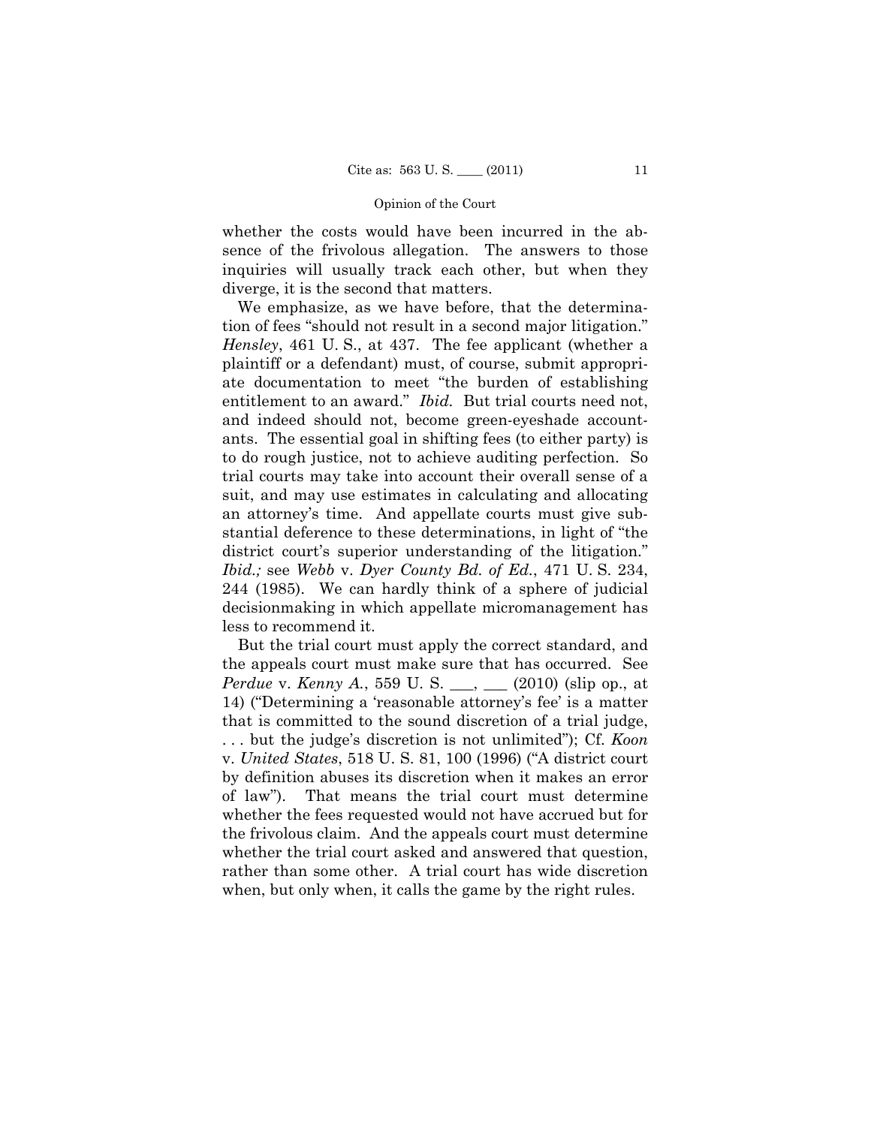whether the costs would have been incurred in the absence of the frivolous allegation. The answers to those inquiries will usually track each other, but when they diverge, it is the second that matters.

We emphasize, as we have before, that the determination of fees "should not result in a second major litigation." *Hensley*, 461 U. S., at 437. The fee applicant (whether a plaintiff or a defendant) must, of course, submit appropriate documentation to meet "the burden of establishing entitlement to an award." *Ibid.* But trial courts need not, and indeed should not, become green-eyeshade accountants. The essential goal in shifting fees (to either party) is to do rough justice, not to achieve auditing perfection. So trial courts may take into account their overall sense of a suit, and may use estimates in calculating and allocating an attorney's time. And appellate courts must give substantial deference to these determinations, in light of "the district court's superior understanding of the litigation." *Ibid.;* see *Webb* v. *Dyer County Bd. of Ed.*, 471 U. S. 234, 244 (1985). We can hardly think of a sphere of judicial decisionmaking in which appellate micromanagement has less to recommend it.

But the trial court must apply the correct standard, and the appeals court must make sure that has occurred. See *Perdue* v. *Kenny A.*, 559 U. S. \_\_, \_\_ (2010) (slip op., at 14) ("Determining a 'reasonable attorney's fee' is a matter that is committed to the sound discretion of a trial judge, . . . but the judge's discretion is not unlimited"); Cf. *Koon*  v. *United States*, 518 U. S. 81, 100 (1996) ("A district court by definition abuses its discretion when it makes an error of law"). That means the trial court must determine whether the fees requested would not have accrued but for the frivolous claim. And the appeals court must determine whether the trial court asked and answered that question, rather than some other. A trial court has wide discretion when, but only when, it calls the game by the right rules.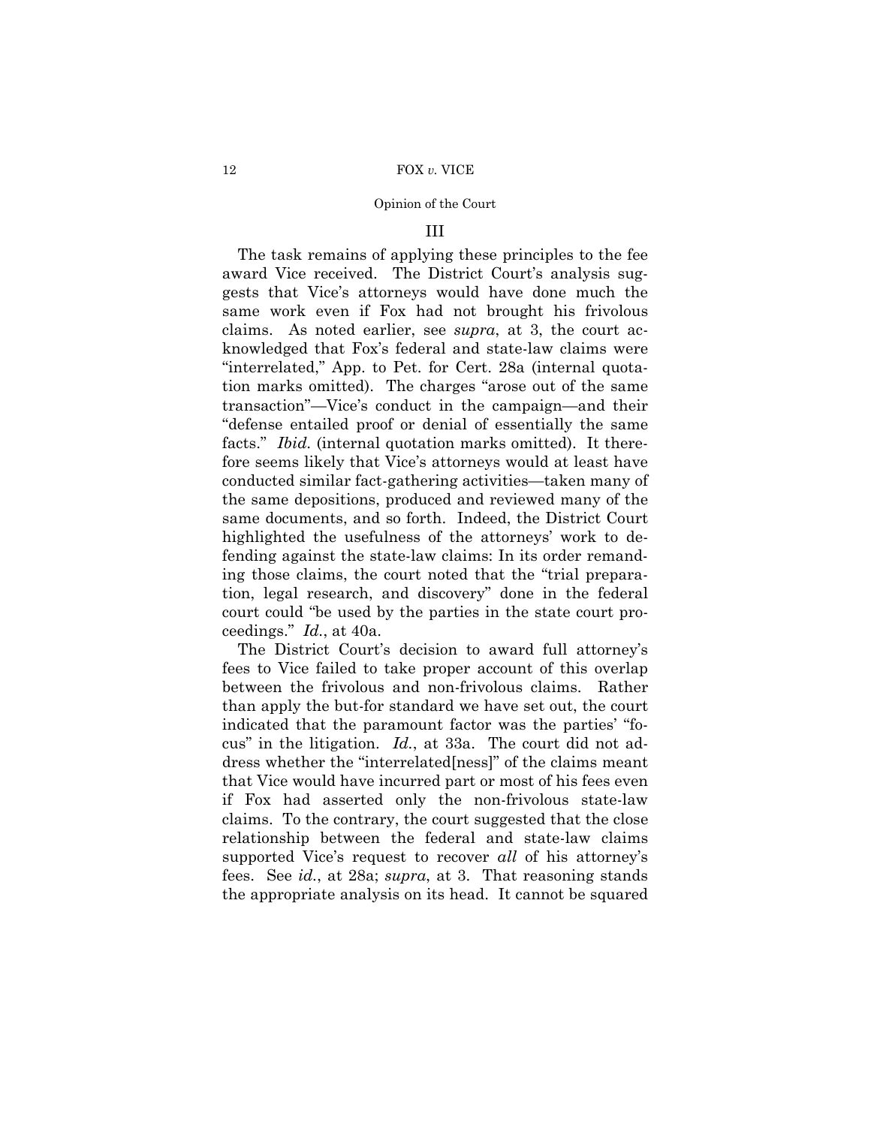### III

The task remains of applying these principles to the fee award Vice received. The District Court's analysis suggests that Vice's attorneys would have done much the same work even if Fox had not brought his frivolous claims. As noted earlier, see *supra*, at 3, the court acknowledged that Fox's federal and state-law claims were "interrelated," App. to Pet. for Cert. 28a (internal quotation marks omitted). The charges "arose out of the same transaction"—Vice's conduct in the campaign—and their "defense entailed proof or denial of essentially the same facts." *Ibid.* (internal quotation marks omitted). It therefore seems likely that Vice's attorneys would at least have conducted similar fact-gathering activities—taken many of the same depositions, produced and reviewed many of the same documents, and so forth. Indeed, the District Court highlighted the usefulness of the attorneys' work to defending against the state-law claims: In its order remanding those claims, the court noted that the "trial preparation, legal research, and discovery" done in the federal court could "be used by the parties in the state court proceedings." *Id.*, at 40a.

The District Court's decision to award full attorney's fees to Vice failed to take proper account of this overlap between the frivolous and non-frivolous claims. Rather than apply the but-for standard we have set out, the court indicated that the paramount factor was the parties' "focus" in the litigation. *Id.*, at 33a. The court did not address whether the "interrelated[ness]" of the claims meant that Vice would have incurred part or most of his fees even if Fox had asserted only the non-frivolous state-law claims. To the contrary, the court suggested that the close relationship between the federal and state-law claims supported Vice's request to recover *all* of his attorney's fees. See *id.*, at 28a; *supra*, at 3. That reasoning stands the appropriate analysis on its head. It cannot be squared